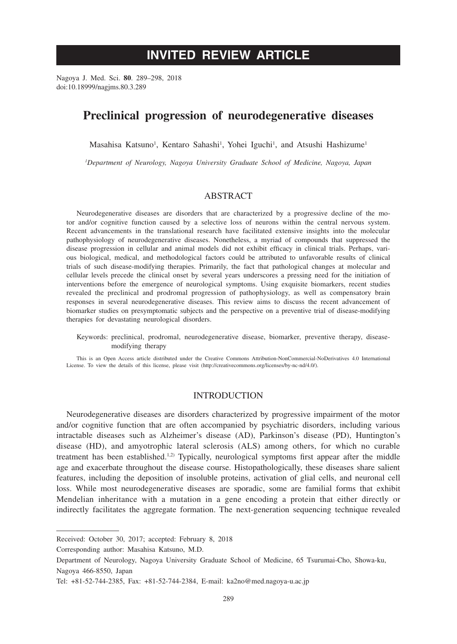# **INVITED REVIEW ARTICLE**

Nagoya J. Med. Sci. **80**. 289–298, 2018 doi:10.18999/nagjms.80.3.289

# **Preclinical progression of neurodegenerative diseases**

Masahisa Katsuno<sup>1</sup>, Kentaro Sahashi<sup>1</sup>, Yohei Iguchi<sup>1</sup>, and Atsushi Hashizume<sup>1</sup>

*1 Department of Neurology, Nagoya University Graduate School of Medicine, Nagoya, Japan*

## ABSTRACT

Neurodegenerative diseases are disorders that are characterized by a progressive decline of the motor and/or cognitive function caused by a selective loss of neurons within the central nervous system. Recent advancements in the translational research have facilitated extensive insights into the molecular pathophysiology of neurodegenerative diseases. Nonetheless, a myriad of compounds that suppressed the disease progression in cellular and animal models did not exhibit efficacy in clinical trials. Perhaps, various biological, medical, and methodological factors could be attributed to unfavorable results of clinical trials of such disease-modifying therapies. Primarily, the fact that pathological changes at molecular and cellular levels precede the clinical onset by several years underscores a pressing need for the initiation of interventions before the emergence of neurological symptoms. Using exquisite biomarkers, recent studies revealed the preclinical and prodromal progression of pathophysiology, as well as compensatory brain responses in several neurodegenerative diseases. This review aims to discuss the recent advancement of biomarker studies on presymptomatic subjects and the perspective on a preventive trial of disease-modifying therapies for devastating neurological disorders.

Keywords: preclinical, prodromal, neurodegenerative disease, biomarker, preventive therapy, diseasemodifying therapy

This is an Open Access article distributed under the Creative Commons Attribution-NonCommercial-NoDerivatives 4.0 International License. To view the details of this license, please visit (http://creativecommons.org/licenses/by-nc-nd/4.0/).

#### **INTRODUCTION**

Neurodegenerative diseases are disorders characterized by progressive impairment of the motor and/or cognitive function that are often accompanied by psychiatric disorders, including various intractable diseases such as Alzheimer's disease (AD), Parkinson's disease (PD), Huntington's disease (HD), and amyotrophic lateral sclerosis (ALS) among others, for which no curable treatment has been established.<sup>1,2)</sup> Typically, neurological symptoms first appear after the middle age and exacerbate throughout the disease course. Histopathologically, these diseases share salient features, including the deposition of insoluble proteins, activation of glial cells, and neuronal cell loss. While most neurodegenerative diseases are sporadic, some are familial forms that exhibit Mendelian inheritance with a mutation in a gene encoding a protein that either directly or indirectly facilitates the aggregate formation. The next-generation sequencing technique revealed

Corresponding author: Masahisa Katsuno, M.D.

Received: October 30, 2017; accepted: February 8, 2018

Department of Neurology, Nagoya University Graduate School of Medicine, 65 Tsurumai-Cho, Showa-ku, Nagoya 466-8550, Japan

Tel: +81-52-744-2385, Fax: +81-52-744-2384, E-mail: ka2no@med.nagoya-u.ac.jp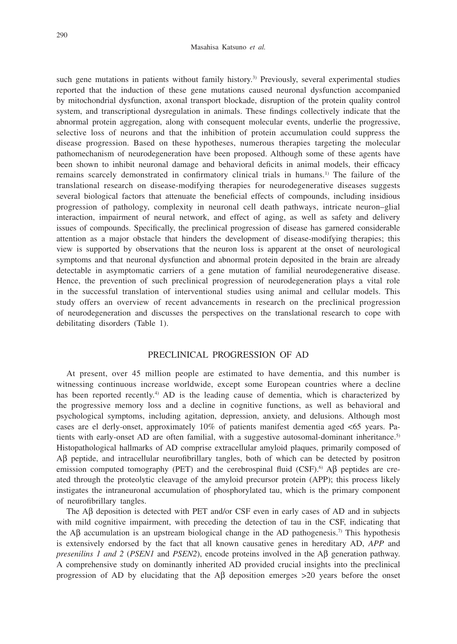#### Masahisa Katsuno *et al.*

such gene mutations in patients without family history.<sup>3)</sup> Previously, several experimental studies reported that the induction of these gene mutations caused neuronal dysfunction accompanied by mitochondrial dysfunction, axonal transport blockade, disruption of the protein quality control system, and transcriptional dysregulation in animals. These findings collectively indicate that the abnormal protein aggregation, along with consequent molecular events, underlie the progressive, selective loss of neurons and that the inhibition of protein accumulation could suppress the disease progression. Based on these hypotheses, numerous therapies targeting the molecular pathomechanism of neurodegeneration have been proposed. Although some of these agents have been shown to inhibit neuronal damage and behavioral deficits in animal models, their efficacy remains scarcely demonstrated in confirmatory clinical trials in humans.1) The failure of the translational research on disease-modifying therapies for neurodegenerative diseases suggests several biological factors that attenuate the beneficial effects of compounds, including insidious progression of pathology, complexity in neuronal cell death pathways, intricate neuron–glial interaction, impairment of neural network, and effect of aging, as well as safety and delivery issues of compounds. Specifically, the preclinical progression of disease has garnered considerable attention as a major obstacle that hinders the development of disease-modifying therapies; this view is supported by observations that the neuron loss is apparent at the onset of neurological symptoms and that neuronal dysfunction and abnormal protein deposited in the brain are already detectable in asymptomatic carriers of a gene mutation of familial neurodegenerative disease. Hence, the prevention of such preclinical progression of neurodegeneration plays a vital role in the successful translation of interventional studies using animal and cellular models. This study offers an overview of recent advancements in research on the preclinical progression of neurodegeneration and discusses the perspectives on the translational research to cope with debilitating disorders (Table 1).

# PRECLINICAL PROGRESSION OF AD

At present, over 45 million people are estimated to have dementia, and this number is witnessing continuous increase worldwide, except some European countries where a decline has been reported recently.<sup>4)</sup> AD is the leading cause of dementia, which is characterized by the progressive memory loss and a decline in cognitive functions, as well as behavioral and psychological symptoms, including agitation, depression, anxiety, and delusions. Although most cases are el derly-onset, approximately 10% of patients manifest dementia aged <65 years. Patients with early-onset AD are often familial, with a suggestive autosomal-dominant inheritance.5) Histopathological hallmarks of AD comprise extracellular amyloid plaques, primarily composed of  $\Delta\beta$  peptide, and intracellular neurofibrillary tangles, both of which can be detected by positron emission computed tomography (PET) and the cerebrospinal fluid (CSF).<sup>6</sup> A $\beta$  peptides are created through the proteolytic cleavage of the amyloid precursor protein (APP); this process likely instigates the intraneuronal accumulation of phosphorylated tau, which is the primary component of neurofibrillary tangles.

The A $\beta$  deposition is detected with PET and/or CSF even in early cases of AD and in subjects with mild cognitive impairment, with preceding the detection of tau in the CSF, indicating that the A $\beta$  accumulation is an upstream biological change in the AD pathogenesis.<sup>7</sup> This hypothesis is extensively endorsed by the fact that all known causative genes in hereditary AD, *APP* and *presenilins 1 and 2 (PSEN1* and *PSEN2*), encode proteins involved in the  $\mathbf{A}\mathbf{\beta}$  generation pathway. A comprehensive study on dominantly inherited AD provided crucial insights into the preclinical progression of AD by elucidating that the A $\beta$  deposition emerges  $>20$  years before the onset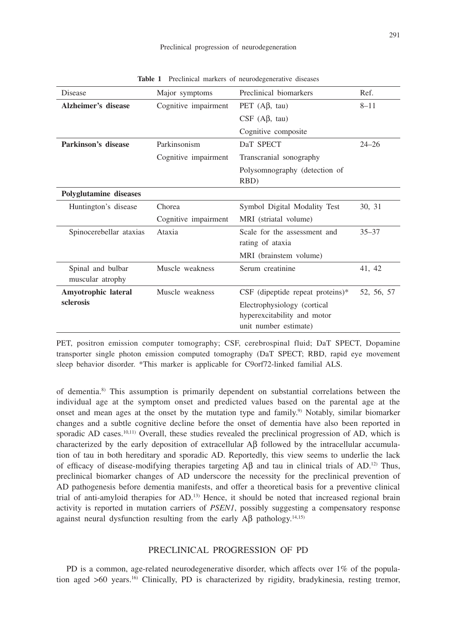| Disease                       | Major symptoms       | Preclinical biomarkers                | Ref.       |
|-------------------------------|----------------------|---------------------------------------|------------|
| Alzheimer's disease           | Cognitive impairment | PET $(Aβ, tau)$                       | $8 - 11$   |
|                               |                      | $CSF$ (A $\beta$ , tau)               |            |
|                               |                      | Cognitive composite                   |            |
| Parkinson's disease           | Parkinsonism         | DaT SPECT                             | $24 - 26$  |
|                               | Cognitive impairment | Transcranial sonography               |            |
|                               |                      | Polysomnography (detection of<br>RBD) |            |
| <b>Polyglutamine</b> diseases |                      |                                       |            |
| Huntington's disease          | Chorea               | Symbol Digital Modality Test          | 30, 31     |
|                               | Cognitive impairment | MRI (striatal volume)                 |            |
| Spinocerebellar ataxias       | Ataxia               | Scale for the assessment and          | $35 - 37$  |
|                               |                      | rating of ataxia                      |            |
|                               |                      | MRI (brainstem volume)                |            |
| Spinal and bulbar             | Muscle weakness      | Serum creatinine                      | 41, 42     |
| muscular atrophy              |                      |                                       |            |
| Amyotrophic lateral           | Muscle weakness      | $CSF$ (dipeptide repeat proteins)*    | 52, 56, 57 |
| sclerosis                     |                      | Electrophysiology (cortical)          |            |
|                               |                      | hyperexcitability and motor           |            |
|                               |                      | unit number estimate)                 |            |

**Table 1** Preclinical markers of neurodegenerative diseases

PET, positron emission computer tomography; CSF, cerebrospinal fluid; DaT SPECT, Dopamine transporter single photon emission computed tomography (DaT SPECT; RBD, rapid eye movement sleep behavior disorder. \*This marker is applicable for C9orf72-linked familial ALS.

of dementia.8) This assumption is primarily dependent on substantial correlations between the individual age at the symptom onset and predicted values based on the parental age at the onset and mean ages at the onset by the mutation type and family.9) Notably, similar biomarker changes and a subtle cognitive decline before the onset of dementia have also been reported in sporadic AD cases.<sup>10,11)</sup> Overall, these studies revealed the preclinical progression of AD, which is characterized by the early deposition of extracellular  $\overrightarrow{AB}$  followed by the intracellular accumulation of tau in both hereditary and sporadic AD. Reportedly, this view seems to underlie the lack of efficacy of disease-modifying therapies targeting  $\overrightarrow{AB}$  and tau in clinical trials of  $AD$ .<sup>12)</sup> Thus, preclinical biomarker changes of AD underscore the necessity for the preclinical prevention of AD pathogenesis before dementia manifests, and offer a theoretical basis for a preventive clinical trial of anti-amyloid therapies for AD.13) Hence, it should be noted that increased regional brain activity is reported in mutation carriers of *PSEN1*, possibly suggesting a compensatory response against neural dysfunction resulting from the early  $\mathbf{A}\mathbf{\beta}$  pathology.<sup>14,15)</sup>

#### PRECLINICAL PROGRESSION OF PD

PD is a common, age-related neurodegenerative disorder, which affects over 1% of the population aged  $>60$  years.<sup>16</sup> Clinically, PD is characterized by rigidity, bradykinesia, resting tremor,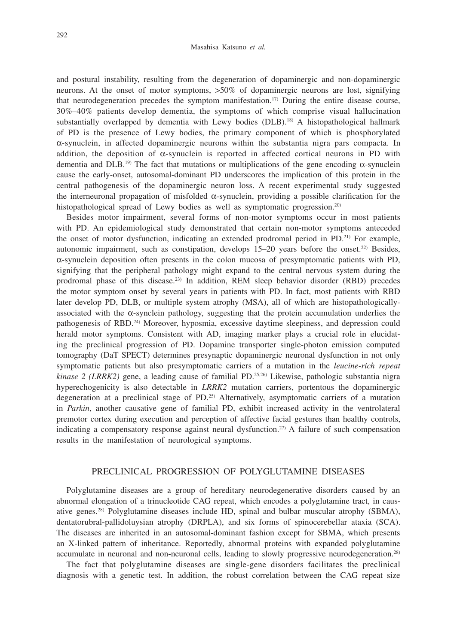and postural instability, resulting from the degeneration of dopaminergic and non-dopaminergic neurons. At the onset of motor symptoms, >50% of dopaminergic neurons are lost, signifying that neurodegeneration precedes the symptom manifestation.<sup>17)</sup> During the entire disease course, 30%–40% patients develop dementia, the symptoms of which comprise visual hallucination substantially overlapped by dementia with Lewy bodies (DLB).<sup>18)</sup> A histopathological hallmark of PD is the presence of Lewy bodies, the primary component of which is phosphorylated  $\alpha$ -synuclein, in affected dopaminergic neurons within the substantia nigra pars compacta. In addition, the deposition of  $\alpha$ -synuclein is reported in affected cortical neurons in PD with dementia and DLB.<sup>19)</sup> The fact that mutations or multiplications of the gene encoding  $\alpha$ -synuclein cause the early-onset, autosomal-dominant PD underscores the implication of this protein in the central pathogenesis of the dopaminergic neuron loss. A recent experimental study suggested the interneuronal propagation of misfolded  $\alpha$ -synuclein, providing a possible clarification for the histopathological spread of Lewy bodies as well as symptomatic progression.<sup>20)</sup>

Besides motor impairment, several forms of non-motor symptoms occur in most patients with PD. An epidemiological study demonstrated that certain non-motor symptoms anteceded the onset of motor dysfunction, indicating an extended prodromal period in PD.21) For example, autonomic impairment, such as constipation, develops 15–20 years before the onset.22) Besides,  $\alpha$ -synuclein deposition often presents in the colon mucosa of presymptomatic patients with PD, signifying that the peripheral pathology might expand to the central nervous system during the prodromal phase of this disease.23) In addition, REM sleep behavior disorder (RBD) precedes the motor symptom onset by several years in patients with PD. In fact, most patients with RBD later develop PD, DLB, or multiple system atrophy (MSA), all of which are histopathologicallyassociated with the  $\alpha$ -synclein pathology, suggesting that the protein accumulation underlies the pathogenesis of RBD.24) Moreover, hyposmia, excessive daytime sleepiness, and depression could herald motor symptoms. Consistent with AD, imaging marker plays a crucial role in elucidating the preclinical progression of PD. Dopamine transporter single-photon emission computed tomography (DaT SPECT) determines presynaptic dopaminergic neuronal dysfunction in not only symptomatic patients but also presymptomatic carriers of a mutation in the *leucine-rich repeat kinase 2 (LRRK2)* gene, a leading cause of familial PD.<sup>25,26)</sup> Likewise, pathologic substantia nigra hyperechogenicity is also detectable in *LRRK2* mutation carriers, portentous the dopaminergic degeneration at a preclinical stage of  $PD<sup>25)</sup>$  Alternatively, asymptomatic carriers of a mutation in *Parkin*, another causative gene of familial PD, exhibit increased activity in the ventrolateral premotor cortex during execution and perception of affective facial gestures than healthy controls, indicating a compensatory response against neural dysfunction.27) A failure of such compensation results in the manifestation of neurological symptoms.

### PRECLINICAL PROGRESSION OF POLYGLUTAMINE DISEASES

Polyglutamine diseases are a group of hereditary neurodegenerative disorders caused by an abnormal elongation of a trinucleotide CAG repeat, which encodes a polyglutamine tract, in causative genes.28) Polyglutamine diseases include HD, spinal and bulbar muscular atrophy (SBMA), dentatorubral-pallidoluysian atrophy (DRPLA), and six forms of spinocerebellar ataxia (SCA). The diseases are inherited in an autosomal-dominant fashion except for SBMA, which presents an X-linked pattern of inheritance. Reportedly, abnormal proteins with expanded polyglutamine accumulate in neuronal and non-neuronal cells, leading to slowly progressive neurodegeneration.<sup>28)</sup>

The fact that polyglutamine diseases are single-gene disorders facilitates the preclinical diagnosis with a genetic test. In addition, the robust correlation between the CAG repeat size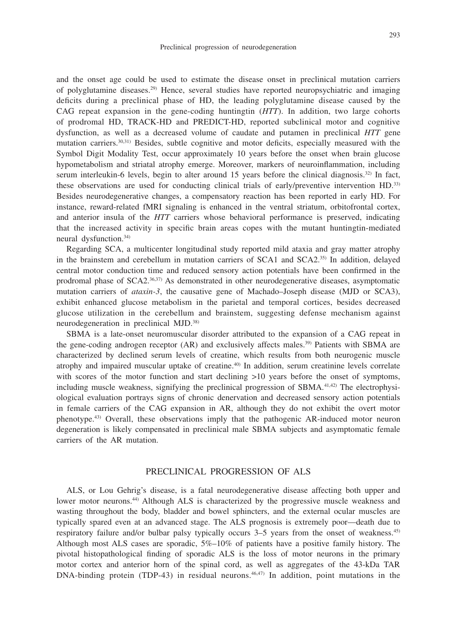and the onset age could be used to estimate the disease onset in preclinical mutation carriers of polyglutamine diseases.29) Hence, several studies have reported neuropsychiatric and imaging

deficits during a preclinical phase of HD, the leading polyglutamine disease caused by the CAG repeat expansion in the gene-coding huntingtin (*HTT*). In addition, two large cohorts of prodromal HD, TRACK-HD and PREDICT-HD, reported subclinical motor and cognitive dysfunction, as well as a decreased volume of caudate and putamen in preclinical *HTT* gene mutation carriers.30,31) Besides, subtle cognitive and motor deficits, especially measured with the Symbol Digit Modality Test, occur approximately 10 years before the onset when brain glucose hypometabolism and striatal atrophy emerge. Moreover, markers of neuroinflammation, including serum interleukin-6 levels, begin to alter around 15 years before the clinical diagnosis.<sup>32)</sup> In fact, these observations are used for conducting clinical trials of early/preventive intervention HD.33) Besides neurodegenerative changes, a compensatory reaction has been reported in early HD. For instance, reward-related fMRI signaling is enhanced in the ventral striatum, orbitofrontal cortex, and anterior insula of the *HTT* carriers whose behavioral performance is preserved, indicating that the increased activity in specific brain areas copes with the mutant huntingtin-mediated neural dysfunction.34)

Regarding SCA, a multicenter longitudinal study reported mild ataxia and gray matter atrophy in the brainstem and cerebellum in mutation carriers of SCA1 and SCA2.35) In addition, delayed central motor conduction time and reduced sensory action potentials have been confirmed in the prodromal phase of SCA2.<sup>36,37)</sup> As demonstrated in other neurodegenerative diseases, asymptomatic mutation carriers of *ataxin-3*, the causative gene of Machado–Joseph disease (MJD or SCA3), exhibit enhanced glucose metabolism in the parietal and temporal cortices, besides decreased glucose utilization in the cerebellum and brainstem, suggesting defense mechanism against neurodegeneration in preclinical MJD.38)

SBMA is a late-onset neuromuscular disorder attributed to the expansion of a CAG repeat in the gene-coding androgen receptor (AR) and exclusively affects males.39) Patients with SBMA are characterized by declined serum levels of creatine, which results from both neurogenic muscle atrophy and impaired muscular uptake of creatine.40) In addition, serum creatinine levels correlate with scores of the motor function and start declining  $>10$  years before the onset of symptoms, including muscle weakness, signifying the preclinical progression of  $SBMA$ .<sup>41,42)</sup> The electrophysiological evaluation portrays signs of chronic denervation and decreased sensory action potentials in female carriers of the CAG expansion in AR, although they do not exhibit the overt motor phenotype.43) Overall, these observations imply that the pathogenic AR-induced motor neuron degeneration is likely compensated in preclinical male SBMA subjects and asymptomatic female carriers of the AR mutation.

# PRECLINICAL PROGRESSION OF ALS

ALS, or Lou Gehrig's disease, is a fatal neurodegenerative disease affecting both upper and lower motor neurons.<sup>44</sup>) Although ALS is characterized by the progressive muscle weakness and wasting throughout the body, bladder and bowel sphincters, and the external ocular muscles are typically spared even at an advanced stage. The ALS prognosis is extremely poor—death due to respiratory failure and/or bulbar palsy typically occurs 3–5 years from the onset of weakness.<sup>45)</sup> Although most ALS cases are sporadic, 5%–10% of patients have a positive family history. The pivotal histopathological finding of sporadic ALS is the loss of motor neurons in the primary motor cortex and anterior horn of the spinal cord, as well as aggregates of the 43-kDa TAR DNA-binding protein (TDP-43) in residual neurons.<sup>46,47)</sup> In addition, point mutations in the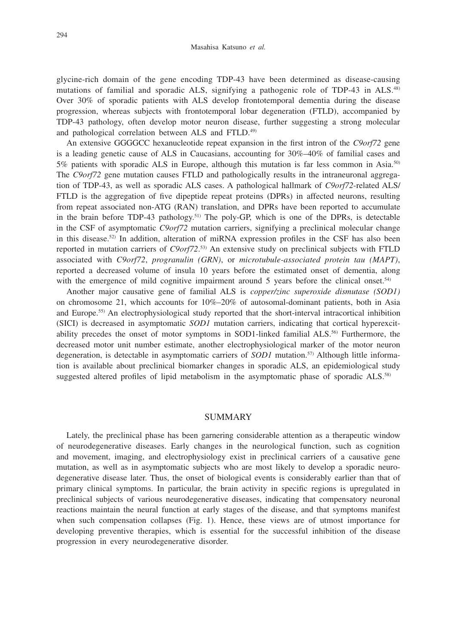glycine-rich domain of the gene encoding TDP-43 have been determined as disease-causing mutations of familial and sporadic ALS, signifying a pathogenic role of TDP-43 in ALS.<sup>48)</sup> Over 30% of sporadic patients with ALS develop frontotemporal dementia during the disease progression, whereas subjects with frontotemporal lobar degeneration (FTLD), accompanied by TDP-43 pathology, often develop motor neuron disease, further suggesting a strong molecular and pathological correlation between ALS and FTLD.49)

An extensive GGGGCC hexanucleotide repeat expansion in the first intron of the *C9orf72* gene is a leading genetic cause of ALS in Caucasians, accounting for 30%–40% of familial cases and 5% patients with sporadic ALS in Europe, although this mutation is far less common in Asia.50) The *C9orf72* gene mutation causes FTLD and pathologically results in the intraneuronal aggregation of TDP-43, as well as sporadic ALS cases. A pathological hallmark of *C9orf72*-related ALS/ FTLD is the aggregation of five dipeptide repeat proteins (DPRs) in affected neurons, resulting from repeat associated non-ATG (RAN) translation, and DPRs have been reported to accumulate in the brain before TDP-43 pathology.<sup>51)</sup> The poly-GP, which is one of the DPRs, is detectable in the CSF of asymptomatic *C9orf72* mutation carriers, signifying a preclinical molecular change in this disease.<sup>52)</sup> In addition, alteration of miRNA expression profiles in the CSF has also been reported in mutation carriers of *C9orf72*. 53) An extensive study on preclinical subjects with FTLD associated with *C9orf72*, *progranulin (GRN)*, or *microtubule-associated protein tau (MAPT)*, reported a decreased volume of insula 10 years before the estimated onset of dementia, along with the emergence of mild cognitive impairment around 5 years before the clinical onset.<sup>54)</sup>

Another major causative gene of familial ALS is *copper/zinc superoxide dismutase (SOD1)* on chromosome 21, which accounts for  $10\%-20\%$  of autosomal-dominant patients, both in Asia and Europe.55) An electrophysiological study reported that the short-interval intracortical inhibition (SICI) is decreased in asymptomatic *SOD1* mutation carriers, indicating that cortical hyperexcitability precedes the onset of motor symptoms in SOD1-linked familial ALS.<sup>56)</sup> Furthermore, the decreased motor unit number estimate, another electrophysiological marker of the motor neuron degeneration, is detectable in asymptomatic carriers of *SOD1* mutation.57) Although little information is available about preclinical biomarker changes in sporadic ALS, an epidemiological study suggested altered profiles of lipid metabolism in the asymptomatic phase of sporadic ALS.<sup>58)</sup>

### SUMMARY

Lately, the preclinical phase has been garnering considerable attention as a therapeutic window of neurodegenerative diseases. Early changes in the neurological function, such as cognition and movement, imaging, and electrophysiology exist in preclinical carriers of a causative gene mutation, as well as in asymptomatic subjects who are most likely to develop a sporadic neurodegenerative disease later. Thus, the onset of biological events is considerably earlier than that of primary clinical symptoms. In particular, the brain activity in specific regions is upregulated in preclinical subjects of various neurodegenerative diseases, indicating that compensatory neuronal reactions maintain the neural function at early stages of the disease, and that symptoms manifest when such compensation collapses (Fig. 1). Hence, these views are of utmost importance for developing preventive therapies, which is essential for the successful inhibition of the disease progression in every neurodegenerative disorder.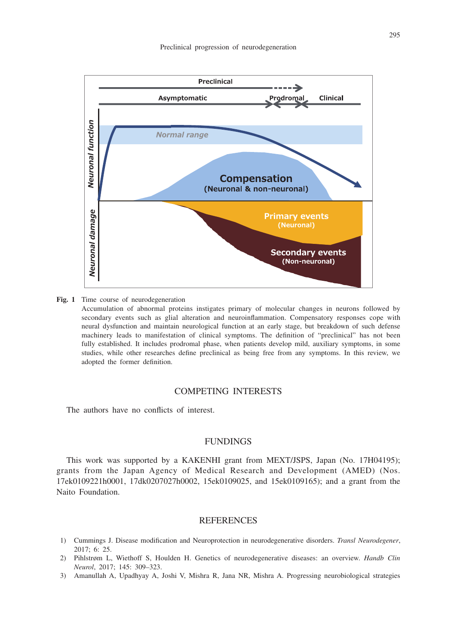

**Fig. 1** Time course of neurodegeneration

 Accumulation of abnormal proteins instigates primary of molecular changes in neurons followed by secondary events such as glial alteration and neuroinflammation. Compensatory responses cope with neural dysfunction and maintain neurological function at an early stage, but breakdown of such defense machinery leads to manifestation of clinical symptoms. The definition of "preclinical" has not been fully established. It includes prodromal phase, when patients develop mild, auxiliary symptoms, in some studies, while other researches define preclinical as being free from any symptoms. In this review, we adopted the former definition.

#### COMPETING INTERESTS

The authors have no conflicts of interest.

#### FUNDINGS

This work was supported by a KAKENHI grant from MEXT/JSPS, Japan (No. 17H04195); grants from the Japan Agency of Medical Research and Development (AMED) (Nos. 17ek0109221h0001, 17dk0207027h0002, 15ek0109025, and 15ek0109165); and a grant from the Naito Foundation.

#### **REFERENCES**

- 1) Cummings J. Disease modification and Neuroprotection in neurodegenerative disorders. *Transl Neurodegener*, 2017; 6: 25.
- 2) Pihlstrøm L, Wiethoff S, Houlden H. Genetics of neurodegenerative diseases: an overview. *Handb Clin Neurol*, 2017; 145: 309–323.
- 3) Amanullah A, Upadhyay A, Joshi V, Mishra R, Jana NR, Mishra A. Progressing neurobiological strategies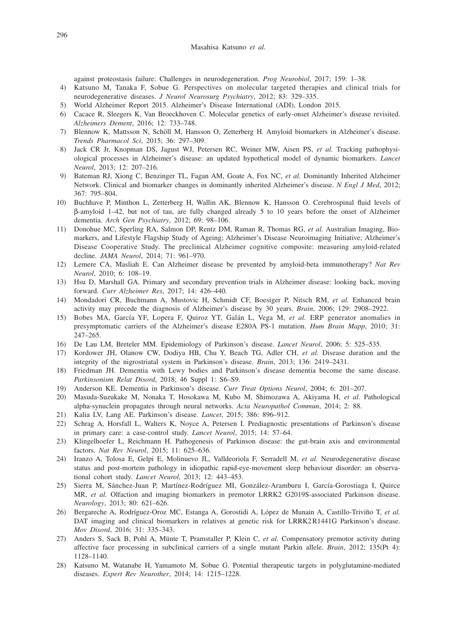against proteostasis failure: Challenges in neurodegeneration. *Prog Neurobiol*, 2017; 159: 1–38.

- 4) Katsuno M, Tanaka F, Sobue G. Perspectives on molecular targeted therapies and clinical trials for neurodegenerative diseases. *J Neurol Neurosurg Psychiatry*, 2012; 83: 329–335.
- 5) World Alzheimer Report 2015. Alzheimer's Disease International (ADI), London 2015.
- 6) Cacace R, Sleegers K, Van Broeckhoven C. Molecular genetics of early-onset Alzheimer's disease revisited. *Alzheimers Dement*, 2016; 12: 733–748.
- 7) Blennow K, Mattsson N, Schöll M, Hansson O, Zetterberg H. Amyloid biomarkers in Alzheimer's disease. *Trends Pharmacol Sci*, 2015; 36: 297–309.
- 8) Jack CR Jr, Knopman DS, Jagust WJ, Petersen RC, Weiner MW, Aisen PS, *et al.* Tracking pathophysiological processes in Alzheimer's disease: an updated hypothetical model of dynamic biomarkers. *Lancet Neurol*, 2013; 12: 207–216.
- 9) Bateman RJ, Xiong C, Benzinger TL, Fagan AM, Goate A, Fox NC, *et al.* Dominantly Inherited Alzheimer Network. Clinical and biomarker changes in dominantly inherited Alzheimer's disease. *N Engl J Med*, 2012; 367: 795–804.
- 10) Buchhave P, Minthon L, Zetterberg H, Wallin AK, Blennow K, Hansson O. Cerebrospinal fluid levels of b-amyloid 1–42, but not of tau, are fully changed already 5 to 10 years before the onset of Alzheimer dementia. *Arch Gen Psychiatry*, 2012; 69: 98–106.
- 11) Donohue MC, Sperling RA, Salmon DP, Rentz DM, Raman R, Thomas RG, *et al.* Australian Imaging, Biomarkers, and Lifestyle Flagship Study of Ageing; Alzheimer's Disease Neuroimaging Initiative; Alzheimer's Disease Cooperative Study. The preclinical Alzheimer cognitive composite: measuring amyloid-related decline. *JAMA Neurol*, 2014; 71: 961–970.
- 12) Lemere CA, Masliah E. Can Alzheimer disease be prevented by amyloid-beta immunotherapy? *Nat Rev Neurol*, 2010; 6: 108–19.
- 13) Hsu D, Marshall GA. Primary and secondary prevention trials in Alzheimer disease: looking back, moving forward. *Curr Alzheimer Res*, 2017; 14: 426–440.
- 14) Mondadori CR, Buchmann A, Mustovic H, Schmidt CF, Boesiger P, Nitsch RM, *et al.* Enhanced brain activity may precede the diagnosis of Alzheimer's disease by 30 years. *Brain*, 2006; 129: 2908–2922.
- 15) Bobes MA, García YF, Lopera F, Quiroz YT, Galán L, Vega M, *et al.* ERP generator anomalies in presymptomatic carriers of the Alzheimer's disease E280A PS-1 mutation. *Hum Brain Mapp*, 2010; 31: 247–265.
- 16) De Lau LM, Breteler MM. Epidemiology of Parkinson's disease. *Lancet Neurol*, 2006; 5: 525–535.
- 17) Kordower JH, Olanow CW, Dodiya HB, Chu Y, Beach TG, Adler CH, *et al.* Disease duration and the integrity of the nigrostriatal system in Parkinson's disease. *Brain*, 2013; 136: 2419–2431.
- 18) Friedman JH. Dementia with Lewy bodies and Parkinson's disease dementia become the same disease. *Parkinsonism Relat Disord*, 2018; 46 Suppl 1: S6–S9.
- 19) Anderson KE. Dementia in Parkinson's disease. *Curr Treat Options Neurol*, 2004; 6: 201–207.
- 20) Masuda-Suzukake M, Nonaka T, Hosokawa M, Kubo M, Shimozawa A, Akiyama H, *et al.* Pathological alpha-synuclein propagates through neural networks. *Acta Neuropathol Commun*, 2014; 2: 88.
- 21) Kalia LV, Lang AE. Parkinson's disease. *Lancet*, 2015; 386: 896–912.
- 22) Schrag A, Horsfall L, Walters K, Noyce A, Petersen I. Prediagnostic presentations of Parkinson's disease in primary care: a case-control study. *Lancet Neurol*, 2015; 14: 57–64.
- 23) Klingelhoefer L, Reichmann H. Pathogenesis of Parkinson disease: the gut-brain axis and environmental factors. *Nat Rev Neurol*, 2015; 11: 625–636.
- 24) Iranzo A, Tolosa E, Gelpi E, Molinuevo JL, Valldeoriola F, Serradell M, *et al.* Neurodegenerative disease status and post-mortem pathology in idiopathic rapid-eye-movement sleep behaviour disorder: an observational cohort study. *Lancet Neurol*, 2013; 12: 443–453.
- 25) Sierra M, Sánchez-Juan P, Martínez-Rodríguez MI, González-Aramburu I, García-Gorostiaga I, Quirce MR, *et al.* Olfaction and imaging biomarkers in premotor LRRK2 G2019S-associated Parkinson disease. *Neurology*, 2013; 80: 621–626.
- 26) Bergareche A, Rodríguez-Oroz MC, Estanga A, Gorostidi A, López de Munain A, Castillo-Triviño T, *et al.* DAT imaging and clinical biomarkers in relatives at genetic risk for LRRK2R1441G Parkinson's disease. *Mov Disord*, 2016; 31: 335–343.
- 27) Anders S, Sack B, Pohl A, Münte T, Pramstaller P, Klein C, *et al.* Compensatory premotor activity during affective face processing in subclinical carriers of a single mutant Parkin allele. *Brain*, 2012; 135(Pt 4): 1128–1140.
- 28) Katsuno M, Watanabe H, Yamamoto M, Sobue G. Potential therapeutic targets in polyglutamine-mediated diseases. *Expert Rev Neurother*, 2014; 14: 1215–1228.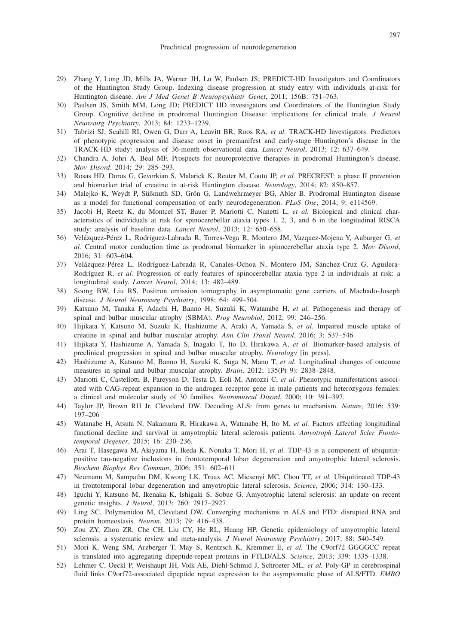- 29) Zhang Y, Long JD, Mills JA, Warner JH, Lu W, Paulsen JS; PREDICT-HD Investigators and Coordinators of the Huntington Study Group. Indexing disease progression at study entry with individuals at-risk for Huntington disease. *Am J Med Genet B Neuropsychiatr Genet*, 2011; 156B: 751–763.
- 30) Paulsen JS, Smith MM, Long JD; PREDICT HD investigators and Coordinators of the Huntington Study Group. Cognitive decline in prodromal Huntington Disease: implications for clinical trials. *J Neurol Neurosurg Psychiatry*, 2013; 84: 1233–1239.
- 31) Tabrizi SJ, Scahill RI, Owen G, Durr A, Leavitt BR, Roos RA, *et al.* TRACK-HD Investigators. Predictors of phenotypic progression and disease onset in premanifest and early-stage Huntington's disease in the TRACK-HD study: analysis of 36-month observational data. *Lancet Neurol*, 2013; 12: 637–649.
- 32) Chandra A, Johri A, Beal MF. Prospects for neuroprotective therapies in prodromal Huntington's disease. *Mov Disord*, 2014; 29: 285–293.
- 33) Rosas HD, Doros G, Gevorkian S, Malarick K, Reuter M, Coutu JP, *et al.* PRECREST: a phase II prevention and biomarker trial of creatine in at-risk Huntington disease. *Neurology*, 2014; 82: 850–857.
- 34) Malejko K, Weydt P, Süßmuth SD, Grön G, Landwehrmeyer BG, Abler B. Prodromal Huntington disease as a model for functional compensation of early neurodegeneration. *PLoS One*, 2014; 9: e114569.
- 35) Jacobi H, Reetz K, du Montcel ST, Bauer P, Mariotti C, Nanetti L, *et al.* Biological and clinical characteristics of individuals at risk for spinocerebellar ataxia types 1, 2, 3, and 6 in the longitudinal RISCA study: analysis of baseline data. *Lancet Neurol*, 2013; 12: 650–658.
- 36) Velázquez-Pérez L, Rodríguez-Labrada R, Torres-Vega R, Montero JM, Vazquez-Mojena Y, Auburger G, *et al.* Central motor conduction time as prodromal biomarker in spinocerebellar ataxia type 2. *Mov Disord*, 2016; 31: 603–604.
- 37) Velázquez-Pérez L, Rodríguez-Labrada R, Canales-Ochoa N, Montero JM, Sánchez-Cruz G, Aguilera-Rodríguez R, *et al.* Progression of early features of spinocerebellar ataxia type 2 in individuals at risk: a longitudinal study. *Lancet Neurol*, 2014; 13: 482–489.
- 38) Soong BW, Liu RS. Positron emission tomography in asymptomatic gene carriers of Machado-Joseph disease. *J Neurol Neurosurg Psychiatry*, 1998; 64: 499–504.
- 39) Katsuno M, Tanaka F, Adachi H, Banno H, Suzuki K, Watanabe H, *et al.* Pathogenesis and therapy of spinal and bulbar muscular atrophy (SBMA). *Prog Neurobiol*, 2012; 99: 246–256.
- 40) Hijikata Y, Katsuno M, Suzuki K, Hashizume A, Araki A, Yamada S, *et al.* Impaired muscle uptake of creatine in spinal and bulbar muscular atrophy. *Ann Clin Transl Neurol*, 2016; 3: 537–546.
- 41) Hijikata Y, Hashizume A, Yamada S, Inagaki T, Ito D, Hirakawa A, *et al.* Biomarker-based analysis of preclinical progression in spinal and bulbar muscular atrophy. *Neurology* [in press].
- 42) Hashizume A, Katsuno M, Banno H, Suzuki K, Suga N, Mano T, *et al.* Longitudinal changes of outcome measures in spinal and bulbar muscular atrophy. *Brain*, 2012; 135(Pt 9): 2838–2848.
- 43) Mariotti C, Castellotti B, Pareyson D, Testa D, Eoli M, Antozzi C, *et al.* Phenotypic manifestations associated with CAG-repeat expansion in the androgen receptor gene in male patients and heterozygous females: a clinical and molecular study of 30 families. *Neuromuscul Disord*, 2000; 10: 391–397.
- 44) Taylor JP, Brown RH Jr, Cleveland DW. Decoding ALS: from genes to mechanism. *Nature*, 2016; 539: 197–206
- 45) Watanabe H, Atsuta N, Nakamura R, Hirakawa A, Watanabe H, Ito M, *et al.* Factors affecting longitudinal functional decline and survival in amyotrophic lateral sclerosis patients. *Amyotroph Lateral Scler Frontotemporal Degener*, 2015; 16: 230–236.
- 46) Arai T, Hasegawa M, Akiyama H, Ikeda K, Nonaka T, Mori H, *et al.* TDP-43 is a component of ubiquitinpositive tau-negative inclusions in frontotemporal lobar degeneration and amyotrophic lateral sclerosis. *Biochem Biophys Res Commun*, 2006; 351: 602–611
- 47) Neumann M, Sampathu DM, Kwong LK, Truax AC, Micsenyi MC, Chou TT, *et al.* Ubiquitinated TDP-43 in frontotemporal lobar degeneration and amyotrophic lateral sclerosis. *Science*, 2006; 314: 130–133.
- 48) Iguchi Y, Katsuno M, Ikenaka K, Ishigaki S, Sobue G. Amyotrophic lateral sclerosis: an update on recent genetic insights. *J Neurol*, 2013; 260: 2917–2927.
- 49) Ling SC, Polymenidou M, Cleveland DW. Converging mechanisms in ALS and FTD: disrupted RNA and protein homeostasis. *Neuron*, 2013; 79: 416–438.
- 50) Zou ZY, Zhou ZR, Che CH, Liu CY, He RL, Huang HP. Genetic epidemiology of amyotrophic lateral sclerosis: a systematic review and meta-analysis. *J Neurol Neurosurg Psychiatry*, 2017; 88: 540–549.
- 51) Mori K, Weng SM, Arzberger T, May S, Rentzsch K, Kremmer E, *et al.* The C9orf72 GGGGCC repeat is translated into aggregating dipeptide-repeat proteins in FTLD/ALS. *Science*, 2013; 339: 1335–1338.
- 52) Lehmer C, Oeckl P, Weishaupt JH, Volk AE, Diehl-Schmid J, Schroeter ML, *et al.* Poly-GP in cerebrospinal fluid links C9orf72-associated dipeptide repeat expression to the asymptomatic phase of ALS/FTD. *EMBO*